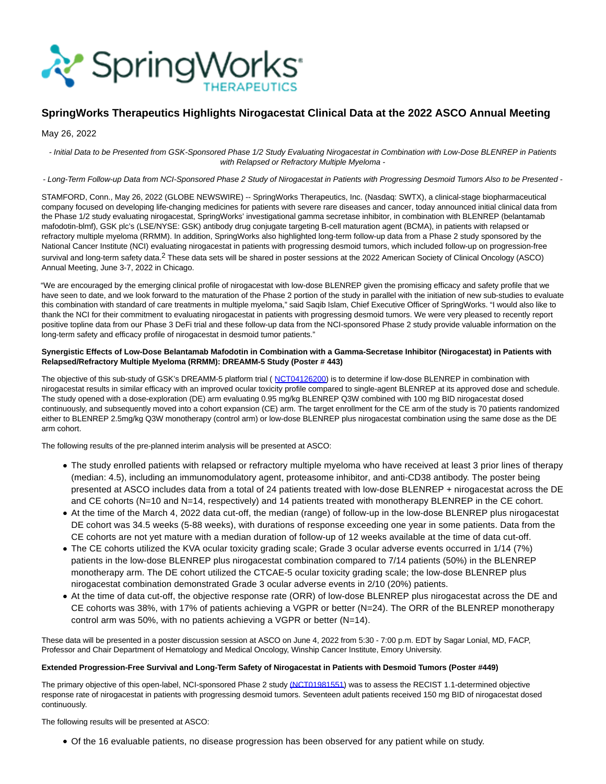

# **SpringWorks Therapeutics Highlights Nirogacestat Clinical Data at the 2022 ASCO Annual Meeting**

May 26, 2022

- Initial Data to be Presented from GSK-Sponsored Phase 1/2 Study Evaluating Nirogacestat in Combination with Low-Dose BLENREP in Patients with Relapsed or Refractory Multiple Myeloma -

## - Long-Term Follow-up Data from NCI-Sponsored Phase 2 Study of Nirogacestat in Patients with Progressing Desmoid Tumors Also to be Presented -

STAMFORD, Conn., May 26, 2022 (GLOBE NEWSWIRE) -- SpringWorks Therapeutics, Inc. (Nasdaq: SWTX), a clinical-stage biopharmaceutical company focused on developing life-changing medicines for patients with severe rare diseases and cancer, today announced initial clinical data from the Phase 1/2 study evaluating nirogacestat, SpringWorks' investigational gamma secretase inhibitor, in combination with BLENREP (belantamab mafodotin-blmf), GSK plc's (LSE/NYSE: GSK) antibody drug conjugate targeting B-cell maturation agent (BCMA), in patients with relapsed or refractory multiple myeloma (RRMM). In addition, SpringWorks also highlighted long-term follow-up data from a Phase 2 study sponsored by the National Cancer Institute (NCI) evaluating nirogacestat in patients with progressing desmoid tumors, which included follow-up on progression-free survival and long-term safety data.<sup>2</sup> These data sets will be shared in poster sessions at the 2022 American Society of Clinical Oncology (ASCO) Annual Meeting, June 3-7, 2022 in Chicago.

"We are encouraged by the emerging clinical profile of nirogacestat with low-dose BLENREP given the promising efficacy and safety profile that we have seen to date, and we look forward to the maturation of the Phase 2 portion of the study in parallel with the initiation of new sub-studies to evaluate this combination with standard of care treatments in multiple myeloma," said Saqib Islam, Chief Executive Officer of SpringWorks. "I would also like to thank the NCI for their commitment to evaluating nirogacestat in patients with progressing desmoid tumors. We were very pleased to recently report positive topline data from our Phase 3 DeFi trial and these follow-up data from the NCI-sponsored Phase 2 study provide valuable information on the long-term safety and efficacy profile of nirogacestat in desmoid tumor patients."

## **Synergistic Effects of Low-Dose Belantamab Mafodotin in Combination with a Gamma-Secretase Inhibitor (Nirogacestat) in Patients with Relapsed/Refractory Multiple Myeloma (RRMM): DREAMM-5 Study (Poster # 443)**

The objective of this sub-study of GSK's DREAMM-5 platform trial ([NCT04126200\)](https://www.globenewswire.com/Tracker?data=TaLzavMU2-LthVNLhZWn-ioyZ57V6uIQ6CQ2hFYYl7ZU423OCEv1LtPJRXlB5V4NCMSweDD7R-XFW6RdndckHD9LmTYZMyg1p8tLGkf7HUnzk8KnO2__0s-wLBOQE1coXmwB_qf8CHzddorlH9EJMw==) is to determine if low-dose BLENREP in combination with nirogacestat results in similar efficacy with an improved ocular toxicity profile compared to single-agent BLENREP at its approved dose and schedule. The study opened with a dose-exploration (DE) arm evaluating 0.95 mg/kg BLENREP Q3W combined with 100 mg BID nirogacestat dosed continuously, and subsequently moved into a cohort expansion (CE) arm. The target enrollment for the CE arm of the study is 70 patients randomized either to BLENREP 2.5mg/kg Q3W monotherapy (control arm) or low-dose BLENREP plus nirogacestat combination using the same dose as the DE arm cohort.

The following results of the pre-planned interim analysis will be presented at ASCO:

- The study enrolled patients with relapsed or refractory multiple myeloma who have received at least 3 prior lines of therapy (median: 4.5), including an immunomodulatory agent, proteasome inhibitor, and anti-CD38 antibody. The poster being presented at ASCO includes data from a total of 24 patients treated with low-dose BLENREP + nirogacestat across the DE and CE cohorts (N=10 and N=14, respectively) and 14 patients treated with monotherapy BLENREP in the CE cohort.
- At the time of the March 4, 2022 data cut-off, the median (range) of follow-up in the low-dose BLENREP plus nirogacestat DE cohort was 34.5 weeks (5-88 weeks), with durations of response exceeding one year in some patients. Data from the CE cohorts are not yet mature with a median duration of follow-up of 12 weeks available at the time of data cut-off.
- The CE cohorts utilized the KVA ocular toxicity grading scale; Grade 3 ocular adverse events occurred in 1/14 (7%) patients in the low-dose BLENREP plus nirogacestat combination compared to 7/14 patients (50%) in the BLENREP monotherapy arm. The DE cohort utilized the CTCAE-5 ocular toxicity grading scale; the low-dose BLENREP plus nirogacestat combination demonstrated Grade 3 ocular adverse events in 2/10 (20%) patients.
- At the time of data cut-off, the objective response rate (ORR) of low-dose BLENREP plus nirogacestat across the DE and CE cohorts was 38%, with 17% of patients achieving a VGPR or better (N=24). The ORR of the BLENREP monotherapy control arm was 50%, with no patients achieving a VGPR or better (N=14).

These data will be presented in a poster discussion session at ASCO on June 4, 2022 from 5:30 - 7:00 p.m. EDT by Sagar Lonial, MD, FACP, Professor and Chair Department of Hematology and Medical Oncology, Winship Cancer Institute, Emory University.

#### **Extended Progression-Free Survival and Long-Term Safety of Nirogacestat in Patients with Desmoid Tumors (Poster #449)**

The primary objective of this open-label, NCI-sponsored Phase 2 study [\(NCT01981551\)](https://www.globenewswire.com/Tracker?data=kzLVTSh12gMCVmKKuUyb8NhQnXBVBLQMgMilxQ5fhbC9YiuGvS66NTtyI3YrBEiGJC0XgS6ptKgAsQZzcqgQb5oEC0YwOKuFg-uPIBa3XmAJoo6K8ykhrsjGh0TJWrK_qx_-NvYQicHPEE4FLLUMbpVaJ-_SqHB-J6DmjOntXjo=) was to assess the RECIST 1.1-determined objective response rate of nirogacestat in patients with progressing desmoid tumors. Seventeen adult patients received 150 mg BID of nirogacestat dosed continuously.

The following results will be presented at ASCO:

Of the 16 evaluable patients, no disease progression has been observed for any patient while on study.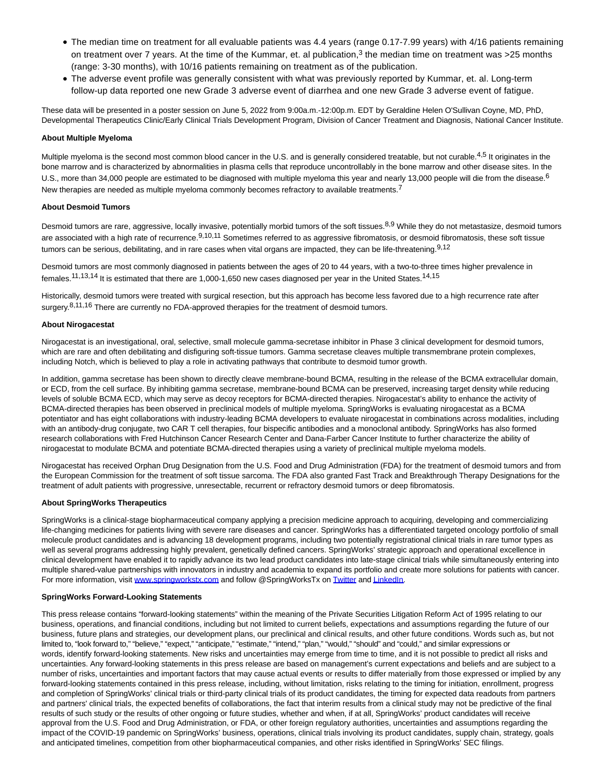- The median time on treatment for all evaluable patients was 4.4 years (range 0.17-7.99 years) with 4/16 patients remaining on treatment over 7 years. At the time of the Kummar, et. al publication,<sup>3</sup> the median time on treatment was >25 months (range: 3-30 months), with 10/16 patients remaining on treatment as of the publication.
- The adverse event profile was generally consistent with what was previously reported by Kummar, et. al. Long-term follow-up data reported one new Grade 3 adverse event of diarrhea and one new Grade 3 adverse event of fatigue.

These data will be presented in a poster session on June 5, 2022 from 9:00a.m.-12:00p.m. EDT by Geraldine Helen O'Sullivan Coyne, MD, PhD, Developmental Therapeutics Clinic/Early Clinical Trials Development Program, Division of Cancer Treatment and Diagnosis, National Cancer Institute.

### **About Multiple Myeloma**

Multiple myeloma is the second most common blood cancer in the U.S. and is generally considered treatable, but not curable.<sup>4,5</sup> It originates in the bone marrow and is characterized by abnormalities in plasma cells that reproduce uncontrollably in the bone marrow and other disease sites. In the U.S., more than 34,000 people are estimated to be diagnosed with multiple myeloma this year and nearly 13,000 people will die from the disease.<sup>6</sup> New therapies are needed as multiple myeloma commonly becomes refractory to available treatments.<sup>7</sup>

## **About Desmoid Tumors**

Desmoid tumors are rare, aggressive, locally invasive, potentially morbid tumors of the soft tissues.<sup>8,9</sup> While they do not metastasize, desmoid tumors are associated with a high rate of recurrence.<sup>9,10,11</sup> Sometimes referred to as aggressive fibromatosis, or desmoid fibromatosis, these soft tissue tumors can be serious, debilitating, and in rare cases when vital organs are impacted, they can be life-threatening.<sup>9,12</sup>

Desmoid tumors are most commonly diagnosed in patients between the ages of 20 to 44 years, with a two-to-three times higher prevalence in females.11,13,14 It is estimated that there are 1,000-1,650 new cases diagnosed per year in the United States.14,15

Historically, desmoid tumors were treated with surgical resection, but this approach has become less favored due to a high recurrence rate after surgery.<sup>8,11,16</sup> There are currently no FDA-approved therapies for the treatment of desmoid tumors.

## **About Nirogacestat**

Nirogacestat is an investigational, oral, selective, small molecule gamma-secretase inhibitor in Phase 3 clinical development for desmoid tumors, which are rare and often debilitating and disfiguring soft-tissue tumors. Gamma secretase cleaves multiple transmembrane protein complexes, including Notch, which is believed to play a role in activating pathways that contribute to desmoid tumor growth.

In addition, gamma secretase has been shown to directly cleave membrane-bound BCMA, resulting in the release of the BCMA extracellular domain, or ECD, from the cell surface. By inhibiting gamma secretase, membrane-bound BCMA can be preserved, increasing target density while reducing levels of soluble BCMA ECD, which may serve as decoy receptors for BCMA-directed therapies. Nirogacestat's ability to enhance the activity of BCMA-directed therapies has been observed in preclinical models of multiple myeloma. SpringWorks is evaluating nirogacestat as a BCMA potentiator and has eight collaborations with industry-leading BCMA developers to evaluate nirogacestat in combinations across modalities, including with an antibody-drug conjugate, two CAR T cell therapies, four bispecific antibodies and a monoclonal antibody. SpringWorks has also formed research collaborations with Fred Hutchinson Cancer Research Center and Dana-Farber Cancer Institute to further characterize the ability of nirogacestat to modulate BCMA and potentiate BCMA-directed therapies using a variety of preclinical multiple myeloma models.

Nirogacestat has received Orphan Drug Designation from the U.S. Food and Drug Administration (FDA) for the treatment of desmoid tumors and from the European Commission for the treatment of soft tissue sarcoma. The FDA also granted Fast Track and Breakthrough Therapy Designations for the treatment of adult patients with progressive, unresectable, recurrent or refractory desmoid tumors or deep fibromatosis.

## **About SpringWorks Therapeutics**

SpringWorks is a clinical-stage biopharmaceutical company applying a precision medicine approach to acquiring, developing and commercializing life-changing medicines for patients living with severe rare diseases and cancer. SpringWorks has a differentiated targeted oncology portfolio of small molecule product candidates and is advancing 18 development programs, including two potentially registrational clinical trials in rare tumor types as well as several programs addressing highly prevalent, genetically defined cancers. SpringWorks' strategic approach and operational excellence in clinical development have enabled it to rapidly advance its two lead product candidates into late-stage clinical trials while simultaneously entering into multiple shared-value partnerships with innovators in industry and academia to expand its portfolio and create more solutions for patients with cancer. For more information, visit [www.springworkstx.com a](https://www.globenewswire.com/Tracker?data=lZ_gmv9RFvxfiMMn0lNMFonWvaeEyFZODystJQjxnlwgYA9cLzDUwEQrEyq6R57KIbZYa28ACjIzyVjyOmi3-uwR5_mcaALvX8u19duFiDs=)nd follow @SpringWorksTx on [Twitter a](https://www.globenewswire.com/Tracker?data=JNDR8EgfNNJhdoByCnPxFfK4Dur8rrYTg2A1_GbLVPGc-iU-MKEyAWSD6CoQVUvbd8uKgn-A_7BvLTCJeTooNQ==)n[d LinkedIn.](https://www.globenewswire.com/Tracker?data=yDWdNZd5eJ8s-gzkBB4XBjYjBcwZ1S5_LSyB_WeMgxTirSsBRLEhhXaw_0FVDUYye5z3X8adnAFnc21ntoBIxZCCJtoNBhFw31LpfK8AJ_qJV6TItUBnCz3AOPIZm90I)

#### **SpringWorks Forward-Looking Statements**

This press release contains "forward-looking statements" within the meaning of the Private Securities Litigation Reform Act of 1995 relating to our business, operations, and financial conditions, including but not limited to current beliefs, expectations and assumptions regarding the future of our business, future plans and strategies, our development plans, our preclinical and clinical results, and other future conditions. Words such as, but not limited to, "look forward to," "believe," "expect," "anticipate," "estimate," "intend," "plan," "would," "should" and "could," and similar expressions or words, identify forward-looking statements. New risks and uncertainties may emerge from time to time, and it is not possible to predict all risks and uncertainties. Any forward-looking statements in this press release are based on management's current expectations and beliefs and are subject to a number of risks, uncertainties and important factors that may cause actual events or results to differ materially from those expressed or implied by any forward-looking statements contained in this press release, including, without limitation, risks relating to the timing for initiation, enrollment, progress and completion of SpringWorks' clinical trials or third-party clinical trials of its product candidates, the timing for expected data readouts from partners and partners' clinical trials, the expected benefits of collaborations, the fact that interim results from a clinical study may not be predictive of the final results of such study or the results of other ongoing or future studies, whether and when, if at all, SpringWorks' product candidates will receive approval from the U.S. Food and Drug Administration, or FDA, or other foreign regulatory authorities, uncertainties and assumptions regarding the impact of the COVID-19 pandemic on SpringWorks' business, operations, clinical trials involving its product candidates, supply chain, strategy, goals and anticipated timelines, competition from other biopharmaceutical companies, and other risks identified in SpringWorks' SEC filings.